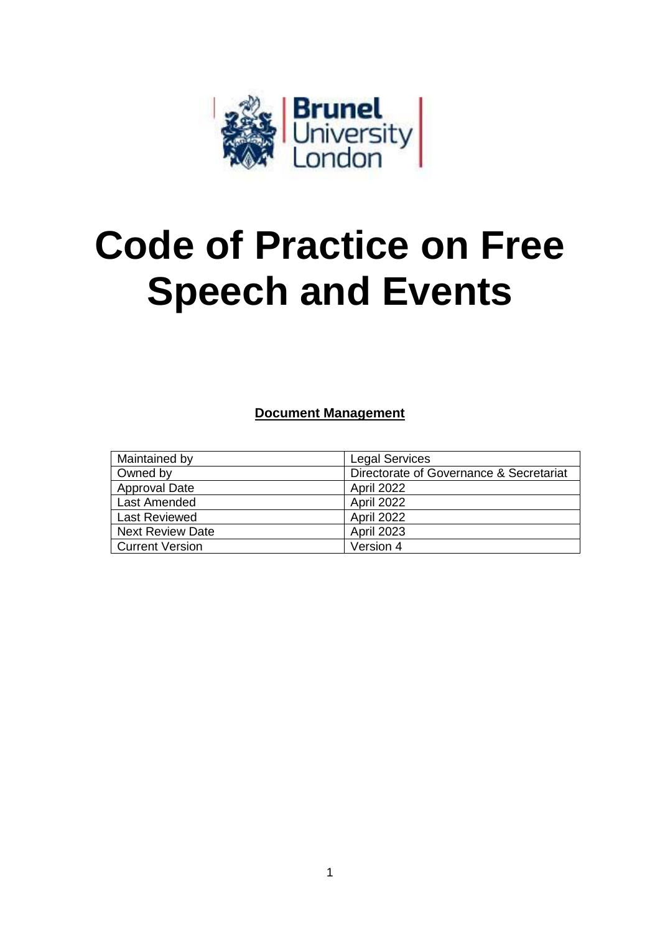

# **Code of Practice on Free Speech and Events**

**Document Management**

| Maintained by           | <b>Legal Services</b>                   |
|-------------------------|-----------------------------------------|
| Owned by                | Directorate of Governance & Secretariat |
| <b>Approval Date</b>    | April 2022                              |
| Last Amended            | April 2022                              |
| <b>Last Reviewed</b>    | April 2022                              |
| <b>Next Review Date</b> | <b>April 2023</b>                       |
| <b>Current Version</b>  | Version 4                               |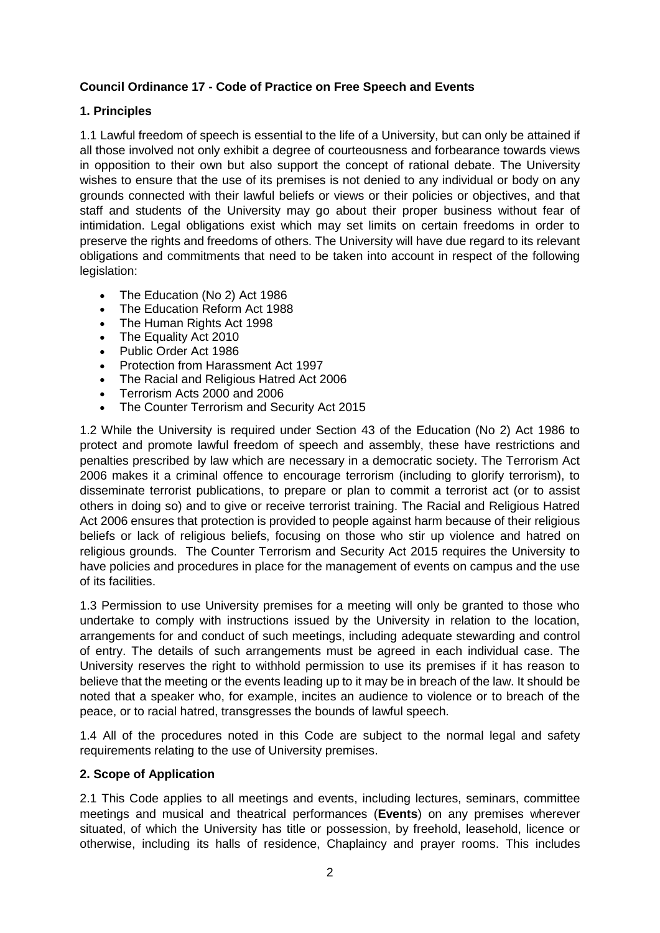## **Council Ordinance 17 - Code of Practice on Free Speech and Events**

## **1. Principles**

1.1 Lawful freedom of speech is essential to the life of a University, but can only be attained if all those involved not only exhibit a degree of courteousness and forbearance towards views in opposition to their own but also support the concept of rational debate. The University wishes to ensure that the use of its premises is not denied to any individual or body on any grounds connected with their lawful beliefs or views or their policies or objectives, and that staff and students of the University may go about their proper business without fear of intimidation. Legal obligations exist which may set limits on certain freedoms in order to preserve the rights and freedoms of others. The University will have due regard to its relevant obligations and commitments that need to be taken into account in respect of the following legislation:

- The Education (No 2) Act 1986
- The Education Reform Act 1988
- The Human Rights Act 1998
- The Equality Act 2010
- Public Order Act 1986
- Protection from Harassment Act 1997
- The Racial and Religious Hatred Act 2006
- Terrorism Acts 2000 and 2006
- The Counter Terrorism and Security Act 2015

1.2 While the University is required under Section 43 of the Education (No 2) Act 1986 to protect and promote lawful freedom of speech and assembly, these have restrictions and penalties prescribed by law which are necessary in a democratic society. The Terrorism Act 2006 makes it a criminal offence to encourage terrorism (including to glorify terrorism), to disseminate terrorist publications, to prepare or plan to commit a terrorist act (or to assist others in doing so) and to give or receive terrorist training. The Racial and Religious Hatred Act 2006 ensures that protection is provided to people against harm because of their religious beliefs or lack of religious beliefs, focusing on those who stir up violence and hatred on religious grounds. The Counter Terrorism and Security Act 2015 requires the University to have policies and procedures in place for the management of events on campus and the use of its facilities.

1.3 Permission to use University premises for a meeting will only be granted to those who undertake to comply with instructions issued by the University in relation to the location, arrangements for and conduct of such meetings, including adequate stewarding and control of entry. The details of such arrangements must be agreed in each individual case. The University reserves the right to withhold permission to use its premises if it has reason to believe that the meeting or the events leading up to it may be in breach of the law. It should be noted that a speaker who, for example, incites an audience to violence or to breach of the peace, or to racial hatred, transgresses the bounds of lawful speech.

1.4 All of the procedures noted in this Code are subject to the normal legal and safety requirements relating to the use of University premises.

#### **2. Scope of Application**

2.1 This Code applies to all meetings and events, including lectures, seminars, committee meetings and musical and theatrical performances (**Events**) on any premises wherever situated, of which the University has title or possession, by freehold, leasehold, licence or otherwise, including its halls of residence, Chaplaincy and prayer rooms. This includes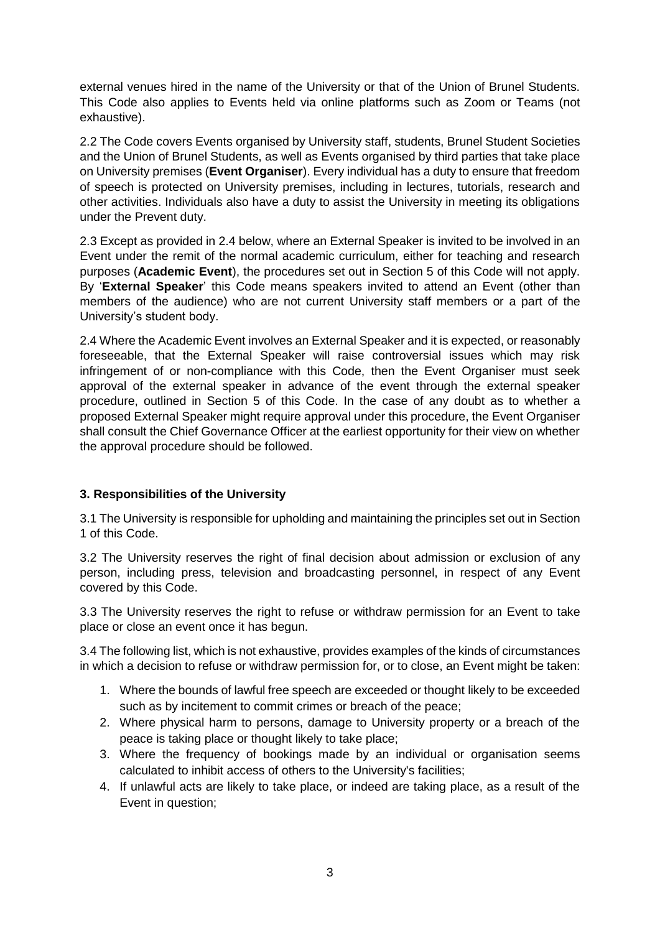external venues hired in the name of the University or that of the Union of Brunel Students. This Code also applies to Events held via online platforms such as Zoom or Teams (not exhaustive).

2.2 The Code covers Events organised by University staff, students, Brunel Student Societies and the Union of Brunel Students, as well as Events organised by third parties that take place on University premises (**Event Organiser**). Every individual has a duty to ensure that freedom of speech is protected on University premises, including in lectures, tutorials, research and other activities. Individuals also have a duty to assist the University in meeting its obligations under the Prevent duty.

2.3 Except as provided in 2.4 below, where an External Speaker is invited to be involved in an Event under the remit of the normal academic curriculum, either for teaching and research purposes (**Academic Event**), the procedures set out in Section 5 of this Code will not apply. By '**External Speaker**' this Code means speakers invited to attend an Event (other than members of the audience) who are not current University staff members or a part of the University's student body.

2.4 Where the Academic Event involves an External Speaker and it is expected, or reasonably foreseeable, that the External Speaker will raise controversial issues which may risk infringement of or non-compliance with this Code, then the Event Organiser must seek approval of the external speaker in advance of the event through the external speaker procedure, outlined in Section 5 of this Code. In the case of any doubt as to whether a proposed External Speaker might require approval under this procedure, the Event Organiser shall consult the Chief Governance Officer at the earliest opportunity for their view on whether the approval procedure should be followed.

## **3. Responsibilities of the University**

3.1 The University is responsible for upholding and maintaining the principles set out in Section 1 of this Code.

3.2 The University reserves the right of final decision about admission or exclusion of any person, including press, television and broadcasting personnel, in respect of any Event covered by this Code.

3.3 The University reserves the right to refuse or withdraw permission for an Event to take place or close an event once it has begun.

3.4 The following list, which is not exhaustive, provides examples of the kinds of circumstances in which a decision to refuse or withdraw permission for, or to close, an Event might be taken:

- 1. Where the bounds of lawful free speech are exceeded or thought likely to be exceeded such as by incitement to commit crimes or breach of the peace;
- 2. Where physical harm to persons, damage to University property or a breach of the peace is taking place or thought likely to take place;
- 3. Where the frequency of bookings made by an individual or organisation seems calculated to inhibit access of others to the University's facilities;
- 4. If unlawful acts are likely to take place, or indeed are taking place, as a result of the Event in question;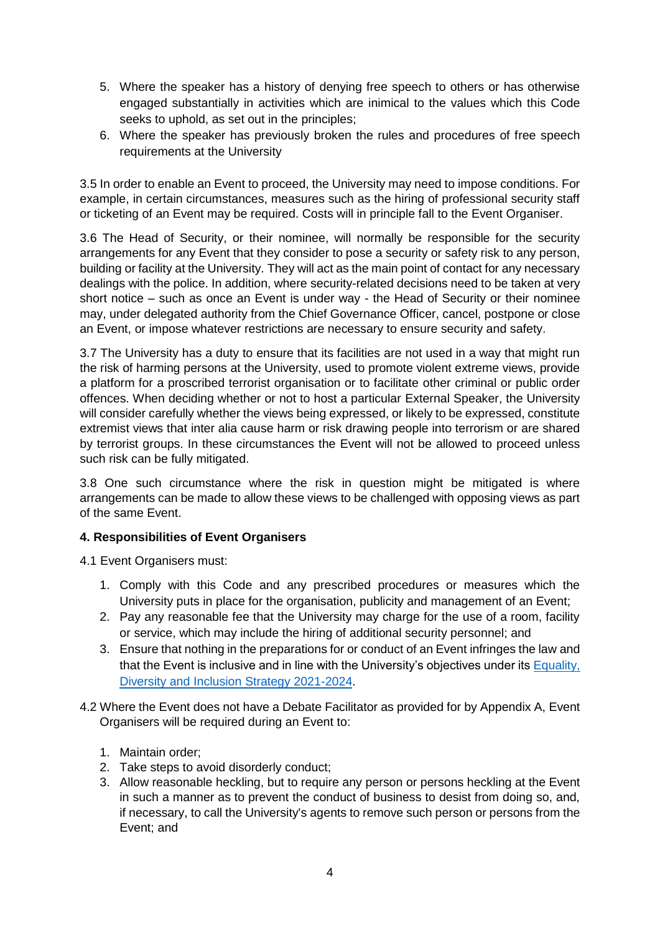- 5. Where the speaker has a history of denying free speech to others or has otherwise engaged substantially in activities which are inimical to the values which this Code seeks to uphold, as set out in the principles;
- 6. Where the speaker has previously broken the rules and procedures of free speech requirements at the University

3.5 In order to enable an Event to proceed, the University may need to impose conditions. For example, in certain circumstances, measures such as the hiring of professional security staff or ticketing of an Event may be required. Costs will in principle fall to the Event Organiser.

3.6 The Head of Security, or their nominee, will normally be responsible for the security arrangements for any Event that they consider to pose a security or safety risk to any person, building or facility at the University. They will act as the main point of contact for any necessary dealings with the police. In addition, where security-related decisions need to be taken at very short notice – such as once an Event is under way - the Head of Security or their nominee may, under delegated authority from the Chief Governance Officer, cancel, postpone or close an Event, or impose whatever restrictions are necessary to ensure security and safety.

3.7 The University has a duty to ensure that its facilities are not used in a way that might run the risk of harming persons at the University, used to promote violent extreme views, provide a platform for a proscribed terrorist organisation or to facilitate other criminal or public order offences. When deciding whether or not to host a particular External Speaker, the University will consider carefully whether the views being expressed, or likely to be expressed, constitute extremist views that inter alia cause harm or risk drawing people into terrorism or are shared by terrorist groups. In these circumstances the Event will not be allowed to proceed unless such risk can be fully mitigated.

3.8 One such circumstance where the risk in question might be mitigated is where arrangements can be made to allow these views to be challenged with opposing views as part of the same Event.

#### **4. Responsibilities of Event Organisers**

4.1 Event Organisers must:

- 1. Comply with this Code and any prescribed procedures or measures which the University puts in place for the organisation, publicity and management of an Event;
- 2. Pay any reasonable fee that the University may charge for the use of a room, facility or service, which may include the hiring of additional security personnel; and
- 3. Ensure that nothing in the preparations for or conduct of an Event infringes the law and that the Event is inclusive and in line with the University's objectives under its [Equality,](https://students.brunel.ac.uk/documents/Policies/equality-diversity-and-inclusion-strategy-social-justice-for-all-2021-2024.pdf)  [Diversity and Inclusion Strategy 2021-2024.](https://students.brunel.ac.uk/documents/Policies/equality-diversity-and-inclusion-strategy-social-justice-for-all-2021-2024.pdf)
- 4.2 Where the Event does not have a Debate Facilitator as provided for by Appendix A, Event Organisers will be required during an Event to:
	- 1. Maintain order;
	- 2. Take steps to avoid disorderly conduct;
	- 3. Allow reasonable heckling, but to require any person or persons heckling at the Event in such a manner as to prevent the conduct of business to desist from doing so, and, if necessary, to call the University's agents to remove such person or persons from the Event; and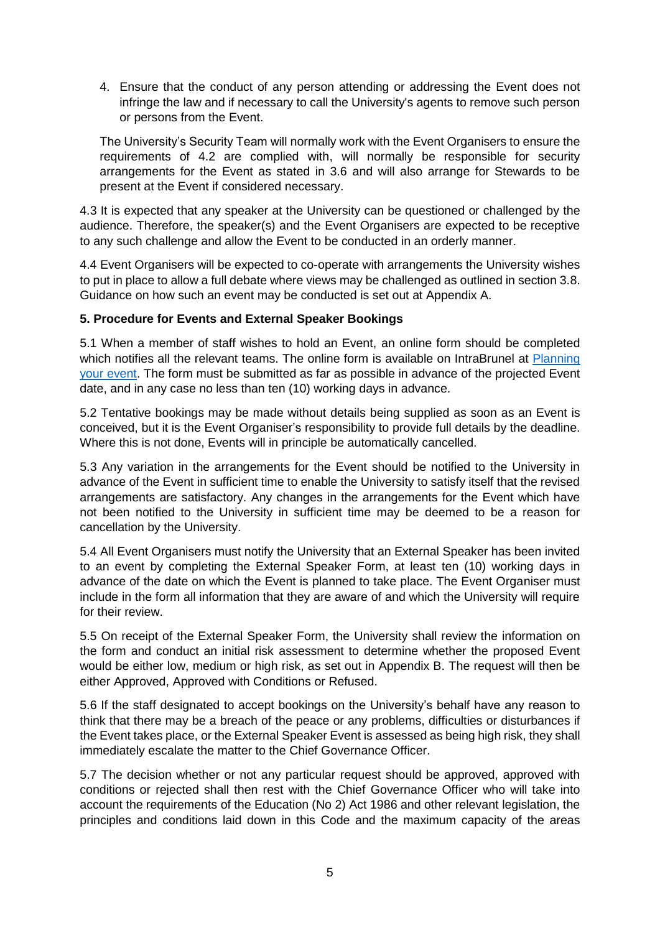4. Ensure that the conduct of any person attending or addressing the Event does not infringe the law and if necessary to call the University's agents to remove such person or persons from the Event.

The University's Security Team will normally work with the Event Organisers to ensure the requirements of 4.2 are complied with, will normally be responsible for security arrangements for the Event as stated in 3.6 and will also arrange for Stewards to be present at the Event if considered necessary.

4.3 It is expected that any speaker at the University can be questioned or challenged by the audience. Therefore, the speaker(s) and the Event Organisers are expected to be receptive to any such challenge and allow the Event to be conducted in an orderly manner.

4.4 Event Organisers will be expected to co-operate with arrangements the University wishes to put in place to allow a full debate where views may be challenged as outlined in section 3.8. Guidance on how such an event may be conducted is set out at Appendix A.

#### **5. Procedure for Events and External Speaker Bookings**

5.1 When a member of staff wishes to hold an Event, an online form should be completed which notifies all the relevant teams. The online form is available on IntraBrunel at Planning [your event.](file://///ikb/home/l/blca001/Desktop/Planning%20your%20event%20(https:/staff.brunel.ac.uk/university-information/events-at-brunel/submit-your-event)) The form must be submitted as far as possible in advance of the projected Event date, and in any case no less than ten (10) working days in advance.

5.2 Tentative bookings may be made without details being supplied as soon as an Event is conceived, but it is the Event Organiser's responsibility to provide full details by the deadline. Where this is not done, Events will in principle be automatically cancelled.

5.3 Any variation in the arrangements for the Event should be notified to the University in advance of the Event in sufficient time to enable the University to satisfy itself that the revised arrangements are satisfactory. Any changes in the arrangements for the Event which have not been notified to the University in sufficient time may be deemed to be a reason for cancellation by the University.

5.4 All Event Organisers must notify the University that an External Speaker has been invited to an event by completing the External Speaker Form, at least ten (10) working days in advance of the date on which the Event is planned to take place. The Event Organiser must include in the form all information that they are aware of and which the University will require for their review.

5.5 On receipt of the External Speaker Form, the University shall review the information on the form and conduct an initial risk assessment to determine whether the proposed Event would be either low, medium or high risk, as set out in Appendix B. The request will then be either Approved, Approved with Conditions or Refused.

5.6 If the staff designated to accept bookings on the University's behalf have any reason to think that there may be a breach of the peace or any problems, difficulties or disturbances if the Event takes place, or the External Speaker Event is assessed as being high risk, they shall immediately escalate the matter to the Chief Governance Officer.

5.7 The decision whether or not any particular request should be approved, approved with conditions or rejected shall then rest with the Chief Governance Officer who will take into account the requirements of the Education (No 2) Act 1986 and other relevant legislation, the principles and conditions laid down in this Code and the maximum capacity of the areas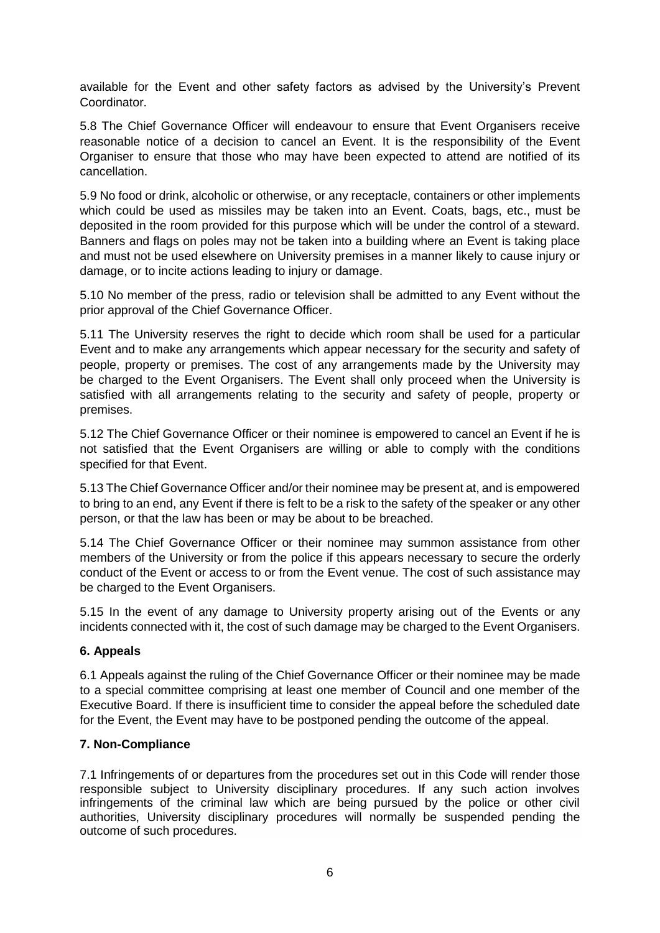available for the Event and other safety factors as advised by the University's Prevent Coordinator.

5.8 The Chief Governance Officer will endeavour to ensure that Event Organisers receive reasonable notice of a decision to cancel an Event. It is the responsibility of the Event Organiser to ensure that those who may have been expected to attend are notified of its cancellation.

5.9 No food or drink, alcoholic or otherwise, or any receptacle, containers or other implements which could be used as missiles may be taken into an Event. Coats, bags, etc., must be deposited in the room provided for this purpose which will be under the control of a steward. Banners and flags on poles may not be taken into a building where an Event is taking place and must not be used elsewhere on University premises in a manner likely to cause injury or damage, or to incite actions leading to injury or damage.

5.10 No member of the press, radio or television shall be admitted to any Event without the prior approval of the Chief Governance Officer.

5.11 The University reserves the right to decide which room shall be used for a particular Event and to make any arrangements which appear necessary for the security and safety of people, property or premises. The cost of any arrangements made by the University may be charged to the Event Organisers. The Event shall only proceed when the University is satisfied with all arrangements relating to the security and safety of people, property or premises.

5.12 The Chief Governance Officer or their nominee is empowered to cancel an Event if he is not satisfied that the Event Organisers are willing or able to comply with the conditions specified for that Event.

5.13 The Chief Governance Officer and/or their nominee may be present at, and is empowered to bring to an end, any Event if there is felt to be a risk to the safety of the speaker or any other person, or that the law has been or may be about to be breached.

5.14 The Chief Governance Officer or their nominee may summon assistance from other members of the University or from the police if this appears necessary to secure the orderly conduct of the Event or access to or from the Event venue. The cost of such assistance may be charged to the Event Organisers.

5.15 In the event of any damage to University property arising out of the Events or any incidents connected with it, the cost of such damage may be charged to the Event Organisers.

#### **6. Appeals**

6.1 Appeals against the ruling of the Chief Governance Officer or their nominee may be made to a special committee comprising at least one member of Council and one member of the Executive Board. If there is insufficient time to consider the appeal before the scheduled date for the Event, the Event may have to be postponed pending the outcome of the appeal.

#### **7. Non-Compliance**

7.1 Infringements of or departures from the procedures set out in this Code will render those responsible subject to University disciplinary procedures. If any such action involves infringements of the criminal law which are being pursued by the police or other civil authorities, University disciplinary procedures will normally be suspended pending the outcome of such procedures.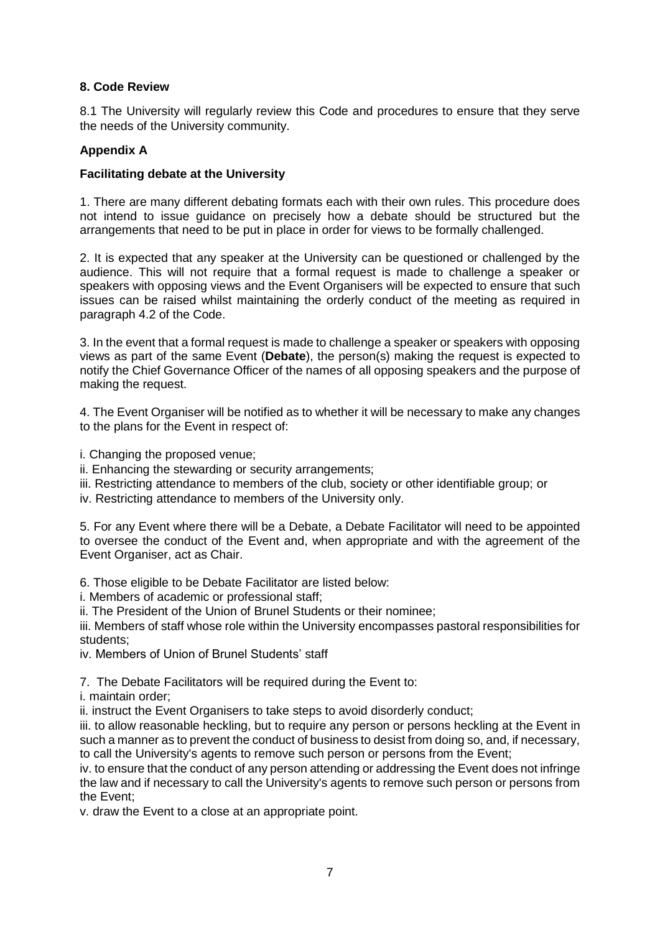#### **8. Code Review**

8.1 The University will regularly review this Code and procedures to ensure that they serve the needs of the University community.

#### **Appendix A**

#### **Facilitating debate at the University**

1. There are many different debating formats each with their own rules. This procedure does not intend to issue guidance on precisely how a debate should be structured but the arrangements that need to be put in place in order for views to be formally challenged.

2. It is expected that any speaker at the University can be questioned or challenged by the audience. This will not require that a formal request is made to challenge a speaker or speakers with opposing views and the Event Organisers will be expected to ensure that such issues can be raised whilst maintaining the orderly conduct of the meeting as required in paragraph 4.2 of the Code.

3. In the event that a formal request is made to challenge a speaker or speakers with opposing views as part of the same Event (**Debate**), the person(s) making the request is expected to notify the Chief Governance Officer of the names of all opposing speakers and the purpose of making the request.

4. The Event Organiser will be notified as to whether it will be necessary to make any changes to the plans for the Event in respect of:

- i. Changing the proposed venue;
- ii. Enhancing the stewarding or security arrangements;
- iii. Restricting attendance to members of the club, society or other identifiable group; or
- iv. Restricting attendance to members of the University only.

5. For any Event where there will be a Debate, a Debate Facilitator will need to be appointed to oversee the conduct of the Event and, when appropriate and with the agreement of the Event Organiser, act as Chair.

6. Those eligible to be Debate Facilitator are listed below:

i. Members of academic or professional staff;

ii. The President of the Union of Brunel Students or their nominee;

iii. Members of staff whose role within the University encompasses pastoral responsibilities for students;

iv. Members of Union of Brunel Students' staff

7. The Debate Facilitators will be required during the Event to:

i. maintain order;

ii. instruct the Event Organisers to take steps to avoid disorderly conduct;

iii. to allow reasonable heckling, but to require any person or persons heckling at the Event in such a manner as to prevent the conduct of business to desist from doing so, and, if necessary, to call the University's agents to remove such person or persons from the Event;

iv. to ensure that the conduct of any person attending or addressing the Event does not infringe the law and if necessary to call the University's agents to remove such person or persons from the Event;

v. draw the Event to a close at an appropriate point.